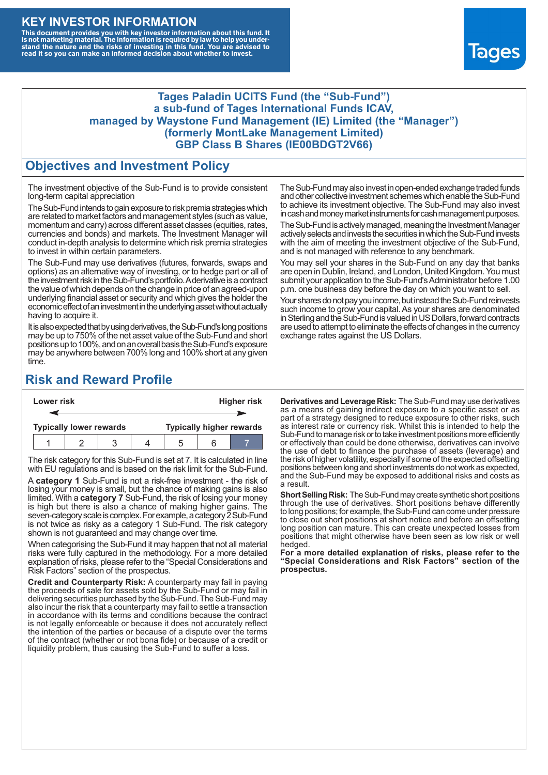## **KEY INVESTOR INFORMATION**

This document provides you with key investor information about this fund. It<br>is not marketing material. The information is required by law to help you under-<br>stand the nature and the risks of investing in this fund. You ar



#### **Tages Paladin UCITS Fund (the "Sub-Fund") a sub-fund of Tages International Funds ICAV, managed by Waystone Fund Management (IE) Limited (the "Manager") (formerly MontLake Management Limited) GBP Class B Shares (IE00BDGT2V66)**

### **Objectives and Investment Policy**

The investment objective of the Sub-Fund is to provide consistent long-term capital appreciation

The Sub-Fund intends to gain exposure to risk premia strategies which are related to market factors and management styles (such as value, momentum and carry) across different asset classes (equities, rates, currencies and bonds) and markets. The Investment Manager will conduct in-depth analysis to determine which risk premia strategies to invest in within certain parameters.

The Sub-Fund may use derivatives (futures, forwards, swaps and options) as an alternative way of investing, or to hedge part or all of the investment risk intheSub-Fund's portfolio.Aderivative is a contract the value of which depends on the change in price of an agreed-upon underlying financial asset or security and which gives the holder the economic effect of an investment in the underlying asset without actually having to acquire it.

It is also expected that by using derivatives, the Sub-Fund's long positions may be up to 750% of the net asset value of the Sub-Fund and short positions up to 100%, and on an overall basis the Sub-Fund's exposure may be anywhere between 700% long and 100% short at any given time.

The Sub-Fund may also invest in open-ended exchange traded funds and other collective investment schemes which enable the Sub-Fund to achieve its investment objective. The Sub-Fund may also invest in cash and money market instruments for cash management purposes.

The Sub-Fund is actively managed, meaning the Investment Manager actively selects and invests the securities in which the Sub-Fund invests with the aim of meeting the investment objective of the Sub-Fund, and is not managed with reference to any benchmark.

You may sell your shares in the Sub-Fund on any day that banks are open in Dublin, Ireland, and London, United Kingdom. You must submit your application to the Sub-Fund's Administrator before 1.00 p.m. one business day before the day on which you want to sell.

Your shares do not pay you income, but instead the Sub-Fund reinvests such income to grow your capital. As your shares are denominated in Sterling and the Sub-Fund is valued in US Dollars, forward contracts are used to attempt to eliminate the effects of changes in the currency exchange rates against the US Dollars.

# **Risk and Reward Profile**

| Lower risk |                                |  |  |  | <b>Higher risk</b>              |     |  |  |
|------------|--------------------------------|--|--|--|---------------------------------|-----|--|--|
|            |                                |  |  |  |                                 |     |  |  |
|            | <b>Typically lower rewards</b> |  |  |  | <b>Typically higher rewards</b> |     |  |  |
|            |                                |  |  |  |                                 | ี่ค |  |  |

The risk category for this Sub-Fund is set at 7. It is calculated in line with EU regulations and is based on the risk limit for the Sub-Fund.

A **category 1** Sub-Fund is not a risk-free investment - the risk of losing your money is small, but the chance of making gains is also limited. With a **category 7** Sub-Fund, the risk of losing your money is high but there is also a chance of making higher gains. The seven-category scale is complex. For example, a category 2 Sub-Fund is not twice as risky as a category 1 Sub-Fund. The risk category shown is not guaranteed and may change over time.

When categorising the Sub-Fund it may happen that not all material risks were fully captured in the methodology. For a more detailed explanation of risks, please refer to the "Special Considerations and Risk Factors" section of the prospectus.

**Credit and Counterparty Risk:** A counterparty may fail in paying the proceeds of sale for assets sold by the Sub-Fund or may fail in delivering securities purchased by the Sub-Fund. The Sub-Fund may also incur the risk that a counterparty may fail to settle a transaction in accordance with its terms and conditions because the contract is not legally enforceable or because it does not accurately reflect the intention of the parties or because of a dispute over the terms of the contract (whether or not bona fide) or because of a credit or liquidity problem, thus causing the Sub-Fund to suffer a loss.

**Derivatives and Leverage Risk:** The Sub-Fund may use derivatives as a means of gaining indirect exposure to a specific asset or as part of a strategy designed to reduce exposure to other risks, such as interest rate or currency risk. Whilst this is intended to help the Sub-Fund to manage risk or to take investment positions more efficiently or effectively than could be done otherwise, derivatives can involve the use of debt to finance the purchase of assets (leverage) and the risk of higher volatility, especially if some of the expected offsetting positions between long and short investments do not work as expected, and the Sub-Fund may be exposed to additional risks and costs as a result.

**Short Selling Risk:** The Sub-Fund may create synthetic short positions through the use of derivatives. Short positions behave differently to long positions; for example, the Sub-Fund can come under pressure to close out short positions at short notice and before an offsetting long position can mature. This can create unexpected losses from positions that might otherwise have been seen as low risk or well hedged.

**For a more detailed explanation of risks, please refer to the "Special Considerations and Risk Factors" section of the prospectus.**